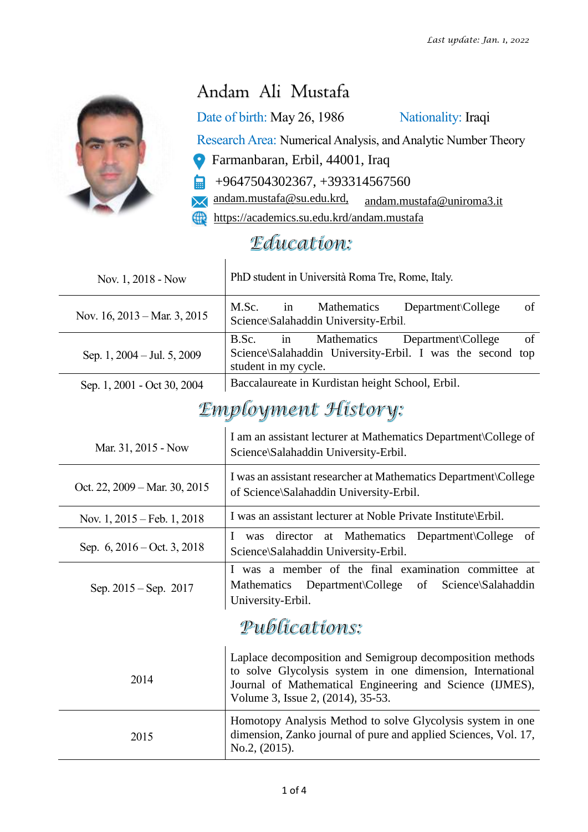

## Andam Ali Mustafa

Date of birth: May 26, 1986 Nationality: Iraqi

Research Area: Numerical Analysis, and Analytic Number Theory

- Farmanbaran, Erbil, 44001, Iraq О
- +9647504302367, +393314567560 白
- [andam.mustafa@su.edu.krd,](mailto:andam.mustafa@su.edu.krd) andam.mustafa@uniroma3.it  $\boldsymbol{\times}$
- <https://academics.su.edu.krd/andam.mustafa>

## Education:

| Nov. 1, 2018 - Now              | PhD student in Università Roma Tre, Rome, Italy.                                                                                                                                                                         |  |  |  |  |
|---------------------------------|--------------------------------------------------------------------------------------------------------------------------------------------------------------------------------------------------------------------------|--|--|--|--|
| Nov. 16, 2013 – Mar. 3, 2015    | M.Sc.<br>Mathematics<br>Department\College<br>of<br>in<br>Science\Salahaddin University-Erbil.                                                                                                                           |  |  |  |  |
| Sep. 1, 2004 – Jul. 5, 2009     | Mathematics<br>B.Sc.<br>in<br>Department\College<br>of<br>Science\Salahaddin University-Erbil. I was the second top<br>student in my cycle.                                                                              |  |  |  |  |
| Sep. 1, 2001 - Oct 30, 2004     | Baccalaureate in Kurdistan height School, Erbil.                                                                                                                                                                         |  |  |  |  |
| <b>Employment History:</b>      |                                                                                                                                                                                                                          |  |  |  |  |
| Mar. 31, 2015 - Now             | I am an assistant lecturer at Mathematics Department\College of<br>Science\Salahaddin University-Erbil.                                                                                                                  |  |  |  |  |
| Oct. 22, 2009 – Mar. 30, 2015   | I was an assistant researcher at Mathematics Department \College<br>of Science\Salahaddin University-Erbil.                                                                                                              |  |  |  |  |
| Nov. $1, 2015$ – Feb. $1, 2018$ | I was an assistant lecturer at Noble Private Institute\Erbil.                                                                                                                                                            |  |  |  |  |
| Sep. 6, 2016 – Oct. 3, 2018     | director at Mathematics Department\College<br>of<br>Ι<br>was<br>Science\Salahaddin University-Erbil.                                                                                                                     |  |  |  |  |
| Sep. 2015 – Sep. 2017           | I was a member of the final examination committee at<br>Department\College<br>of<br>Mathematics<br>Science\Salahaddin<br>University-Erbil.                                                                               |  |  |  |  |
| Publications:                   |                                                                                                                                                                                                                          |  |  |  |  |
| 2014                            | Laplace decomposition and Semigroup decomposition methods<br>to solve Glycolysis system in one dimension, International<br>Journal of Mathematical Engineering and Science (IJMES),<br>Volume 3, Issue 2, (2014), 35-53. |  |  |  |  |
| 2015                            | Homotopy Analysis Method to solve Glycolysis system in one<br>dimension, Zanko journal of pure and applied Sciences, Vol. 17,<br>No.2, (2015).                                                                           |  |  |  |  |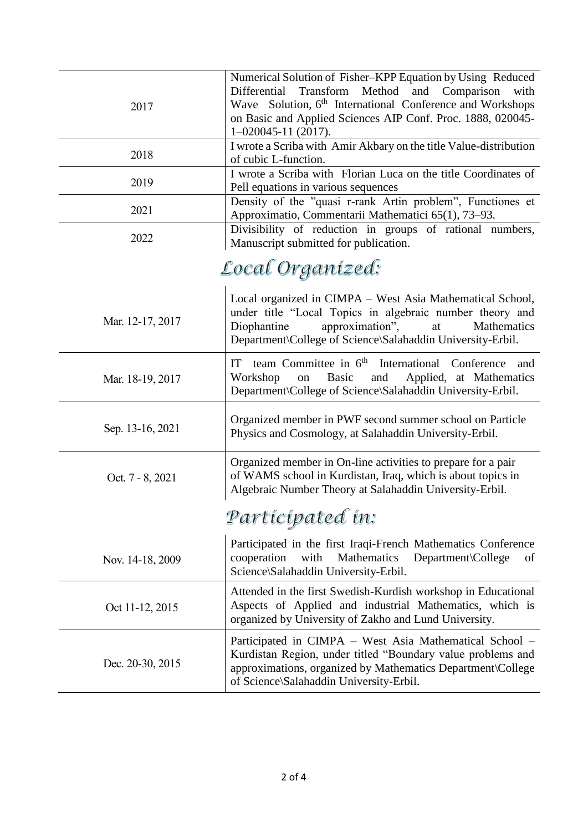| 2017             | Numerical Solution of Fisher-KPP Equation by Using Reduced<br>Transform Method and Comparison<br>Differential<br>with<br>Wave Solution, 6 <sup>th</sup> International Conference and Workshops<br>on Basic and Applied Sciences AIP Conf. Proc. 1888, 020045-<br>$1 - 020045 - 11(2017)$ . |  |  |  |  |
|------------------|--------------------------------------------------------------------------------------------------------------------------------------------------------------------------------------------------------------------------------------------------------------------------------------------|--|--|--|--|
| 2018             | I wrote a Scriba with Amir Akbary on the title Value-distribution<br>of cubic L-function.                                                                                                                                                                                                  |  |  |  |  |
| 2019             | I wrote a Scriba with Florian Luca on the title Coordinates of<br>Pell equations in various sequences                                                                                                                                                                                      |  |  |  |  |
| 2021             | Density of the "quasi r-rank Artin problem", Functiones et<br>Approximatio, Commentarii Mathematici 65(1), 73–93.                                                                                                                                                                          |  |  |  |  |
| 2022             | Divisibility of reduction in groups of rational numbers,<br>Manuscript submitted for publication.                                                                                                                                                                                          |  |  |  |  |
| Local Organized: |                                                                                                                                                                                                                                                                                            |  |  |  |  |
| Mar. 12-17, 2017 | Local organized in CIMPA - West Asia Mathematical School,<br>under title "Local Topics in algebraic number theory and<br>Diophantine<br>approximation",<br>at<br>Mathematics<br>Department\College of Science\Salahaddin University-Erbil.                                                 |  |  |  |  |
| Mar. 18-19, 2017 | team Committee in 6 <sup>th</sup> International Conference<br>IT<br>and<br><b>Basic</b><br>Applied, at Mathematics<br>Workshop<br>and<br>on<br>Department\College of Science\Salahaddin University-Erbil.                                                                                  |  |  |  |  |
| Sep. 13-16, 2021 | Organized member in PWF second summer school on Particle<br>Physics and Cosmology, at Salahaddin University-Erbil.                                                                                                                                                                         |  |  |  |  |
| Oct. 7 - 8, 2021 | Organized member in On-line activities to prepare for a pair<br>of WAMS school in Kurdistan, Iraq, which is about topics in<br>Algebraic Number Theory at Salahaddin University-Erbil.                                                                                                     |  |  |  |  |
| Participated in: |                                                                                                                                                                                                                                                                                            |  |  |  |  |
| Nov. 14-18, 2009 | Participated in the first Iraqi-French Mathematics Conference<br>cooperation<br>with<br>Mathematics<br>Department\College<br>οf<br>Science\Salahaddin University-Erbil.                                                                                                                    |  |  |  |  |
| Oct 11-12, 2015  | Attended in the first Swedish-Kurdish workshop in Educational<br>Aspects of Applied and industrial Mathematics, which is<br>organized by University of Zakho and Lund University.                                                                                                          |  |  |  |  |
| Dec. 20-30, 2015 | Participated in CIMPA – West Asia Mathematical School –<br>Kurdistan Region, under titled "Boundary value problems and<br>approximations, organized by Mathematics Department\College<br>of Science\Salahaddin University-Erbil.                                                           |  |  |  |  |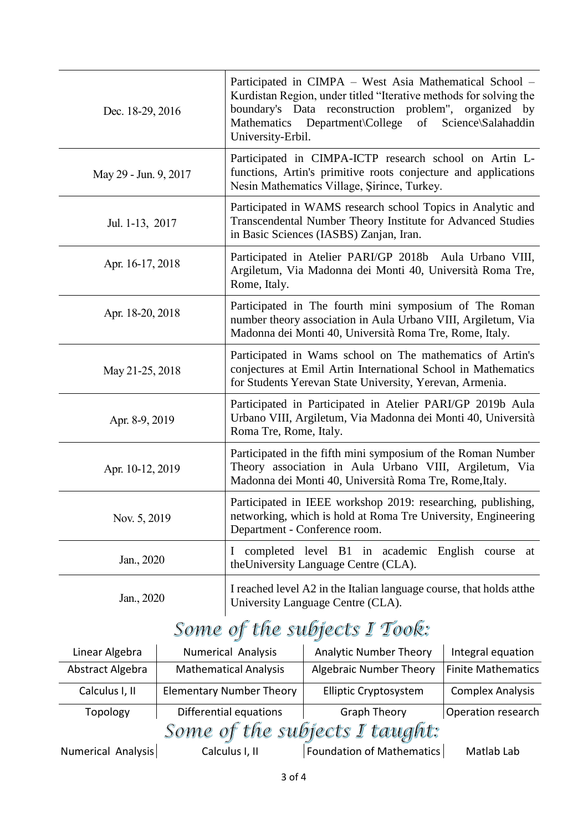| Dec. 18-29, 2016      | Participated in CIMPA – West Asia Mathematical School –<br>Kurdistan Region, under titled "Iterative methods for solving the<br>boundary's Data reconstruction problem", organized by<br>Mathematics Department College of<br>Science\Salahaddin<br>University-Erbil. |
|-----------------------|-----------------------------------------------------------------------------------------------------------------------------------------------------------------------------------------------------------------------------------------------------------------------|
| May 29 - Jun. 9, 2017 | Participated in CIMPA-ICTP research school on Artin L-<br>functions, Artin's primitive roots conjecture and applications<br>Nesin Mathematics Village, Şirince, Turkey.                                                                                               |
| Jul. 1-13, 2017       | Participated in WAMS research school Topics in Analytic and<br>Transcendental Number Theory Institute for Advanced Studies<br>in Basic Sciences (IASBS) Zanjan, Iran.                                                                                                 |
| Apr. 16-17, 2018      | Participated in Atelier PARI/GP 2018b Aula Urbano VIII,<br>Argiletum, Via Madonna dei Monti 40, Università Roma Tre,<br>Rome, Italy.                                                                                                                                  |
| Apr. 18-20, 2018      | Participated in The fourth mini symposium of The Roman<br>number theory association in Aula Urbano VIII, Argiletum, Via<br>Madonna dei Monti 40, Università Roma Tre, Rome, Italy.                                                                                    |
| May 21-25, 2018       | Participated in Wams school on The mathematics of Artin's<br>conjectures at Emil Artin International School in Mathematics<br>for Students Yerevan State University, Yerevan, Armenia.                                                                                |
| Apr. 8-9, 2019        | Participated in Participated in Atelier PARI/GP 2019b Aula<br>Urbano VIII, Argiletum, Via Madonna dei Monti 40, Università<br>Roma Tre, Rome, Italy.                                                                                                                  |
| Apr. 10-12, 2019      | Participated in the fifth mini symposium of the Roman Number<br>Theory association in Aula Urbano VIII, Argiletum, Via<br>Madonna dei Monti 40, Università Roma Tre, Rome, Italy.                                                                                     |
| Nov. 5, 2019          | Participated in IEEE workshop 2019: researching, publishing,<br>networking, which is hold at Roma Tre University, Engineering<br>Department - Conference room.                                                                                                        |
| Jan., 2020            | completed level B1 in academic<br>English<br>$\bf{l}$<br>course<br>at<br>the University Language Centre (CLA).                                                                                                                                                        |
| Jan., 2020            | I reached level A2 in the Italian language course, that holds at the<br>University Language Centre (CLA).                                                                                                                                                             |

| Linear Algebra                 | <b>Numerical Analysis</b>       | <b>Analytic Number Theory</b>    | Integral equation         |  |  |  |  |
|--------------------------------|---------------------------------|----------------------------------|---------------------------|--|--|--|--|
| Abstract Algebra               | <b>Mathematical Analysis</b>    | <b>Algebraic Number Theory</b>   | <b>Finite Mathematics</b> |  |  |  |  |
| Calculus I, II                 | <b>Elementary Number Theory</b> | <b>Elliptic Cryptosystem</b>     | <b>Complex Analysis</b>   |  |  |  |  |
| Topology                       | Differential equations          | <b>Graph Theory</b>              | Operation research        |  |  |  |  |
| Some of the subjects I taught: |                                 |                                  |                           |  |  |  |  |
| Numerical Analysis             | Calculus I, II                  | <b>Foundation of Mathematics</b> | Matlab Lab                |  |  |  |  |
|                                |                                 |                                  |                           |  |  |  |  |